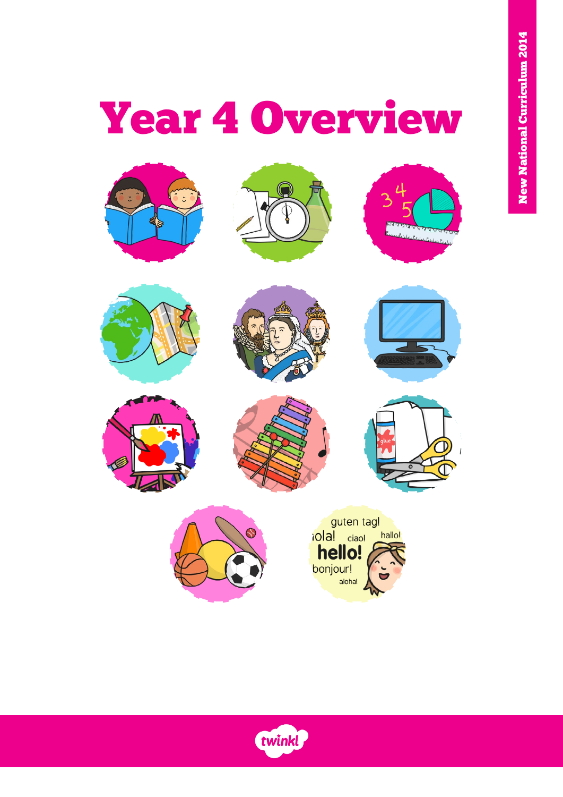# Year 4 Overview



















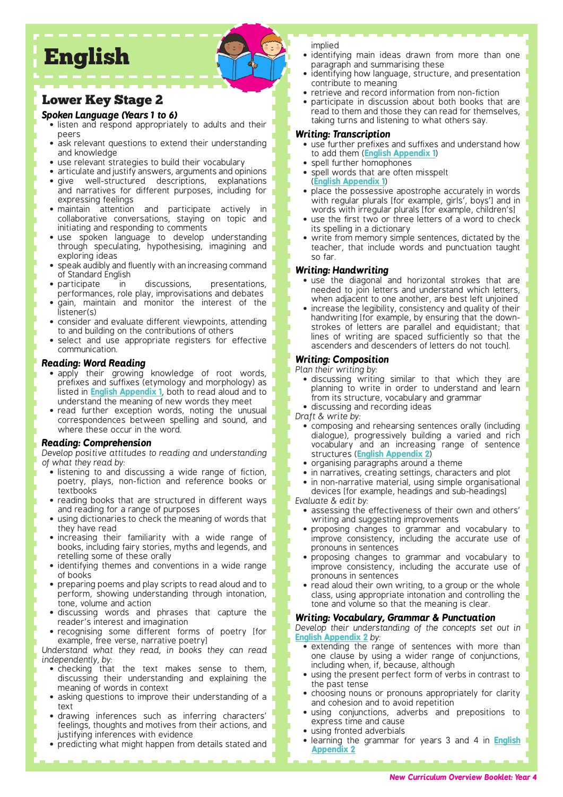# English

### Lower Key Stage 2

### *Spoken Language (Years 1 to 6)*

- listen and respond appropriately to adults and their peers
- ask relevant questions to extend their understanding and knowledge
- use relevant strategies to build their vocabulary
- articulate and justify answers, arguments and opinions
- give well-structured descriptions, explanations and narratives for different purposes, including for expressing feelings
- maintain attention and participate actively in collaborative conversations, staying on topic and initiating and responding to comments
- use spoken language to develop understanding through speculating, hypothesising, imagining and exploring ideas
- speak audibly and fluently with an increasing command
- of Standard English<br>• participate in in discussions, presentations, performances, role play, improvisations and debates
- gain, maintain and monitor the interest of the listener(s)
- consider and evaluate different viewpoints, attending to and building on the contributions of others
- select and use appropriate registers for effective communication.

### *Reading: Word Reading*

- apply their growing knowledge of root words, prefixes and suffixes (etymology and morphology) as listed in **[English Appendix 1](https://assets.publishing.service.gov.uk/government/uploads/system/uploads/attachment_data/file/239784/English_Appendix_1_-_Spelling.pdf)**, both to read aloud and to understand the meaning of new words they meet
- read further exception words, noting the unusual correspondences between spelling and sound, and where these occur in the word.

### *Reading: Comprehension*

*Develop positive attitudes to reading and understanding of what they read by:*

- listening to and discussing a wide range of fiction, poetry, plays, non-fiction and reference books or textbooks
- reading books that are structured in different ways and reading for a range of purposes
- using dictionaries to check the meaning of words that they have read
- increasing their familiarity with a wide range of books, including fairy stories, myths and legends, and retelling some of these orally
- identifying themes and conventions in a wide range of books
- preparing poems and play scripts to read aloud and to perform, showing understanding through intonation, tone, volume and action
- discussing words and phrases that capture the reader's interest and imagination
- recognising some different forms of poetry [for example, free verse, narrative poetry]

*Understand what they read, in books they can read independently, by:*

- checking that the text makes sense to them, discussing their understanding and explaining the meaning of words in context
- asking questions to improve their understanding of a text
- drawing inferences such as inferring characters' feelings, thoughts and motives from their actions, and justifying inferences with evidence
- predicting what might happen from details stated and

implied

- identifying main ideas drawn from more than one paragraph and summarising these
- identifying how language, structure, and presentation contribute to meaning
- retrieve and record information from non-fiction
- participate in discussion about both books that are read to them and those they can read for themselves, taking turns and listening to what others say.

### *Writing: Transcription*

- use further prefixes and suffixes and understand how to add them (**[English Appendix 1](https://assets.publishing.service.gov.uk/government/uploads/system/uploads/attachment_data/file/239784/English_Appendix_1_-_Spelling.pdf)**)
- spell further homophones • spell words that are often misspelt (**[English Appendix 1](https://assets.publishing.service.gov.uk/government/uploads/system/uploads/attachment_data/file/239784/English_Appendix_1_-_Spelling.pdf)**)
- place the possessive apostrophe accurately in words with regular plurals [for example, girls', boys'] and in words with irregular plurals [for example, children's]
- use the first two or three letters of a word to check its spelling in a dictionary
- write from memory simple sentences, dictated by the teacher, that include words and punctuation taught so far.

### *Writing: Handwriting*

- use the diagonal and horizontal strokes that are needed to join letters and understand which letters, when adjacent to one another, are best left unjoined
- increase the legibility, consistency and quality of their handwriting [for example, by ensuring that the downstrokes of letters are parallel and equidistant; that lines of writing are spaced sufficiently so that the ascenders and descenders of letters do not touch].

### *Writing: Composition*

### *Plan their writing by:*

- discussing writing similar to that which they are planning to write in order to understand and learn from its structure, vocabulary and grammar
- discussing and recording ideas

*Draft & write by:*

- composing and rehearsing sentences orally (including dialogue), progressively building a varied and rich vocabulary and an increasing range of sentence structures (**[English Appendix 2](https://assets.publishing.service.gov.uk/government/uploads/system/uploads/attachment_data/file/335190/English_Appendix_2_-_Vocabulary_grammar_and_punctuation.pdf)**)
- organising paragraphs around a theme
- in narratives, creating settings, characters and plot
- in non-narrative material, using simple organisational devices [for example, headings and sub-headings]

*Evaluate & edit by:*

- assessing the effectiveness of their own and others' writing and suggesting improvements
- proposing changes to grammar and vocabulary to improve consistency, including the accurate use of pronouns in sentences
- proposing changes to grammar and vocabulary to improve consistency, including the accurate use of pronouns in sentences
- read aloud their own writing, to a group or the whole class, using appropriate intonation and controlling the tone and volume so that the meaning is clear.

### *Writing: Vocabulary, Grammar & Punctuation*

*Develop their understanding of the concepts set out in*  **[English Appendix 2](https://assets.publishing.service.gov.uk/government/uploads/system/uploads/attachment_data/file/335190/English_Appendix_2_-_Vocabulary_grammar_and_punctuation.pdf)** *by:*

- extending the range of sentences with more than one clause by using a wider range of conjunctions, including when, if, because, although
- using the present perfect form of verbs in contrast to the past tense
- choosing nouns or pronouns appropriately for clarity and cohesion and to avoid repetition
- using conjunctions, adverbs and prepositions to express time and cause
- using fronted adverbials
- learning the grammar for years 3 and 4 in **[English](https://assets.publishing.service.gov.uk/government/uploads/system/uploads/attachment_data/file/335190/English_Appendix_2_-_Vocabulary_grammar_and_punctuation.pdf)  [Appendix 2](https://assets.publishing.service.gov.uk/government/uploads/system/uploads/attachment_data/file/335190/English_Appendix_2_-_Vocabulary_grammar_and_punctuation.pdf)**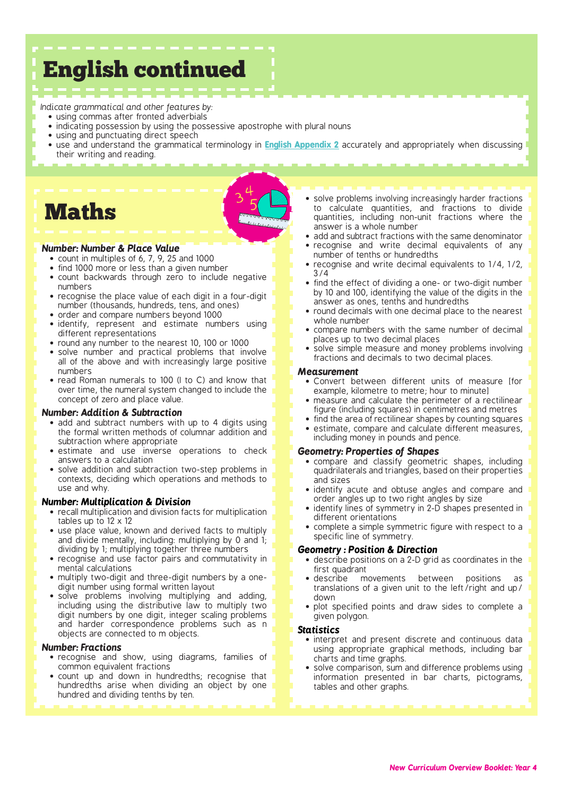# English continued

### *Indicate grammatical and other features by:*

- using commas after fronted adverbials
- indicating possession by using the possessive apostrophe with plural nouns
- using and punctuating direct speech
- use and understand the grammatical terminology in **[English Appendix 2](https://assets.publishing.service.gov.uk/government/uploads/system/uploads/attachment_data/file/335190/English_Appendix_2_-_Vocabulary_grammar_and_punctuation.pdf)** accurately and appropriately when discussing their writing and reading.

# Maths

### *Number: Number & Place Value*

- count in multiples of 6, 7, 9, 25 and 1000
- find 1000 more or less than a given number
- count backwards through zero to include negative numbers
- recognise the place value of each digit in a four-digit number (thousands, hundreds, tens, and ones)
- order and compare numbers beyond 1000
- identify, represent and estimate numbers using different representations
- round any number to the nearest 10, 100 or 1000
- solve number and practical problems that involve all of the above and with increasingly large positive numbers
- read Roman numerals to 100 (I to C) and know that over time, the numeral system changed to include the concept of zero and place value.

### *Number: Addition & Subtraction*

- add and subtract numbers with up to 4 digits using the formal written methods of columnar addition and subtraction where appropriate
- estimate and use inverse operations to check answers to a calculation
- solve addition and subtraction two-step problems in contexts, deciding which operations and methods to use and why.

### *Number: Multiplication & Division*

- recall multiplication and division facts for multiplication tables up to 12 x 12
- use place value, known and derived facts to multiply and divide mentally, including: multiplying by 0 and 1; dividing by 1; multiplying together three numbers
- recognise and use factor pairs and commutativity in mental calculations
- multiply two-digit and three-digit numbers by a onedigit number using formal written layout
- solve problems involving multiplying and adding, including using the distributive law to multiply two digit numbers by one digit, integer scaling problems and harder correspondence problems such as n objects are connected to m objects.

#### *Number: Fractions*

- recognise and show, using diagrams, families of common equivalent fractions
- count up and down in hundredths; recognise that hundredths arise when dividing an object by one hundred and dividing tenths by ten.
- solve problems involving increasingly harder fractions to calculate quantities, and fractions to divide quantities, including non-unit fractions where the answer is a whole number
- add and subtract fractions with the same denominator • recognise and write decimal equivalents of any
- number of tenths or hundredths
- recognise and write decimal equivalents to 1/4, 1/2, 3/4
- find the effect of dividing a one- or two-digit number by 10 and 100, identifying the value of the digits in the answer as ones, tenths and hundredths
- round decimals with one decimal place to the nearest whole number
- compare numbers with the same number of decimal places up to two decimal places
- solve simple measure and money problems involving fractions and decimals to two decimal places.

#### *Measurement*

- Convert between different units of measure [for example, kilometre to metre; hour to minute]
- measure and calculate the perimeter of a rectilinear figure (including squares) in centimetres and metres
- find the area of rectilinear shapes by counting squares
- estimate, compare and calculate different measures, including money in pounds and pence.

### *Geometry: Properties of Shapes*

- compare and classify geometric shapes, including quadrilaterals and triangles, based on their properties and sizes
- identify acute and obtuse angles and compare and order angles up to two right angles by size
- identify lines of symmetry in 2-D shapes presented in different orientations
- complete a simple symmetric figure with respect to a specific line of symmetry.

### *Geometry : Position & Direction*

- describe positions on a 2-D grid as coordinates in the first quadrant<br>• describe m
- movements between positions as translations of a given unit to the left/right and up/ down
- plot specified points and draw sides to complete a given polygon.

#### *Statistics*

- interpret and present discrete and continuous data using appropriate graphical methods, including bar charts and time graphs.
- solve comparison, sum and difference problems using information presented in bar charts, pictograms, tables and other graphs.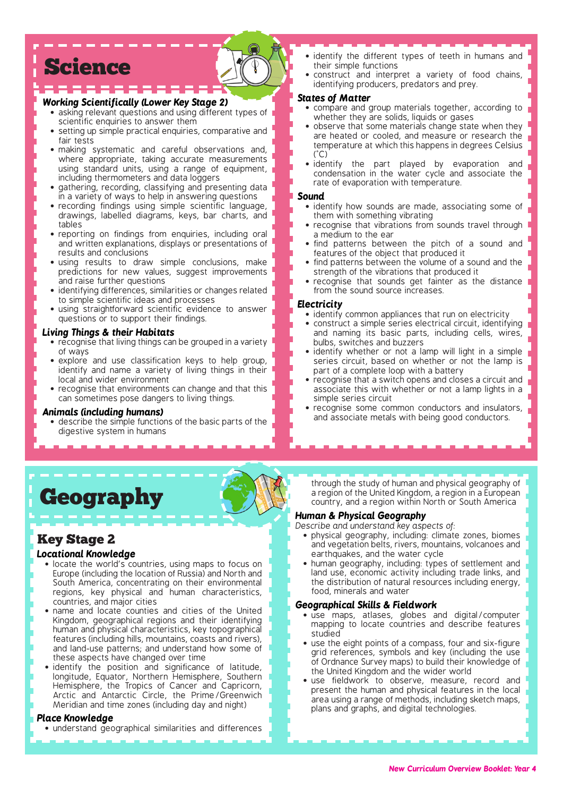# Science

### *Working Scientifically (Lower Key Stage 2)*

- asking relevant questions and using different types of scientific enquiries to answer them
- setting up simple practical enquiries, comparative and fair tests
- making systematic and careful observations and, where appropriate, taking accurate measurements using standard units, using a range of equipment, including thermometers and data loggers
- gathering, recording, classifying and presenting data in a variety of ways to help in answering questions
- recording findings using simple scientific language, drawings, labelled diagrams, keys, bar charts, and tables
- reporting on findings from enquiries, including oral and written explanations, displays or presentations of results and conclusions
- using results to draw simple conclusions, make predictions for new values, suggest improvements and raise further questions
- identifying differences, similarities or changes related to simple scientific ideas and processes
- using straightforward scientific evidence to answer questions or to support their findings.

### *Living Things & their Habitats*

- recognise that living things can be grouped in a variety of ways
- explore and use classification keys to help group, identify and name a variety of living things in their local and wider environment
- recognise that environments can change and that this can sometimes pose dangers to living things.

#### *Animals (including humans)*

describe the simple functions of the basic parts of the digestive system in humans

- identify the different types of teeth in humans and their simple functions
- construct and interpret a variety of food chains, identifying producers, predators and prey.

#### *States of Matter*

- compare and group materials together, according to whether they are solids, liquids or gases
- observe that some materials change state when they are heated or cooled, and measure or research the temperature at which this happens in degrees Celsius  $(^{\circ}C)$
- identify the part played by evaporation and condensation in the water cycle and associate the rate of evaporation with temperature.

#### *Sound*

- identify how sounds are made, associating some of them with something vibrating
- recognise that vibrations from sounds travel through a medium to the ear
- find patterns between the pitch of a sound and features of the object that produced it
- find patterns between the volume of a sound and the strength of the vibrations that produced it
- recognise that sounds get fainter as the distance from the sound source increases.

### *Electricity*

- identify common appliances that run on electricity
- construct a simple series electrical circuit, identifying and naming its basic parts, including cells, wires, bulbs, switches and buzzers
- identify whether or not a lamp will light in a simple series circuit, based on whether or not the lamp is part of a complete loop with a battery
- recognise that a switch opens and closes a circuit and associate this with whether or not a lamp lights in a simple series circuit
- recognise some common conductors and insulators, and associate metals with being good conductors.



### Key Stage 2

### *Locational Knowledge*

- locate the world's countries, using maps to focus on Europe (including the location of Russia) and North and South America, concentrating on their environmental regions, key physical and human characteristics, countries, and major cities
- name and locate counties and cities of the United Kingdom, geographical regions and their identifying human and physical characteristics, key topographical features (including hills, mountains, coasts and rivers), and land-use patterns; and understand how some of these aspects have changed over time
- identify the position and significance of latitude, longitude, Equator, Northern Hemisphere, Southern Hemisphere, the Tropics of Cancer and Capricorn, Arctic and Antarctic Circle, the Prime/Greenwich Meridian and time zones (including day and night)

#### *Place Knowledge*

• understand geographical similarities and differences

through the study of human and physical geography of a region of the United Kingdom, a region in a European country, and a region within North or South America

### *Human & Physical Geography*

- *Describe and understand key aspects of:*
	- physical geography, including: climate zones, biomes and vegetation belts, rivers, mountains, volcanoes and earthquakes, and the water cycle
	- human geography, including: types of settlement and land use, economic activity including trade links, and the distribution of natural resources including energy, food, minerals and water

### *Geographical Skills & Fieldwork*

- use maps, atlases, globes and digital/computer mapping to locate countries and describe features studied
- use the eight points of a compass, four and six-figure grid references, symbols and key (including the use of Ordnance Survey maps) to build their knowledge of the United Kingdom and the wider world
- use fieldwork to observe, measure, record and present the human and physical features in the local area using a range of methods, including sketch maps, plans and graphs, and digital technologies.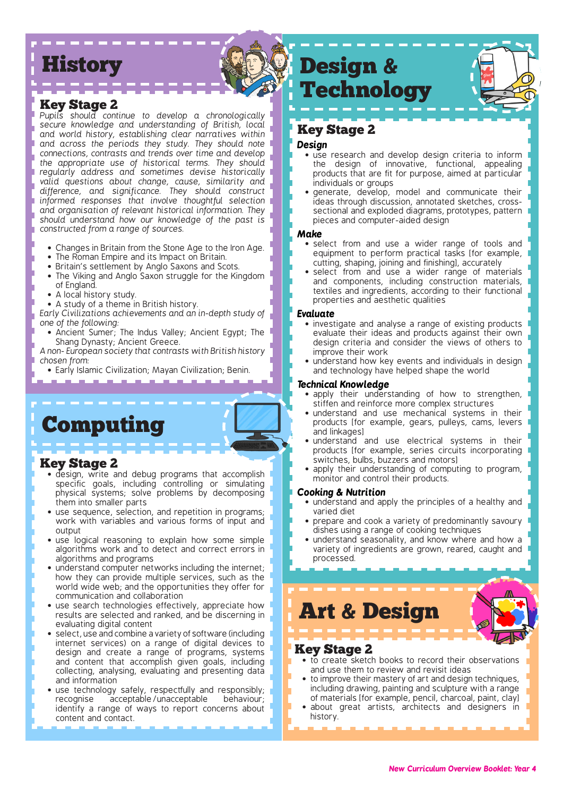# **History**

### Key Stage 2

*Pupils should continue to develop a chronologically secure knowledge and understanding of British, local and world history, establishing clear narratives within and across the periods they study. They should note connections, contrasts and trends over time and develop the appropriate use of historical terms. They should regularly address and sometimes devise historically valid questions about change, cause, similarity and difference, and significance. They should construct informed responses that involve thoughtful selection and organisation of relevant historical information. They should understand how our knowledge of the past is constructed from a range of sources.*

- 
- The Roman Empire and its Impact on Britain.
- Britain's settlement by Anglo Saxons and Scots.
- The Viking and Anglo Saxon struggle for the Kingdom of England.
- 
- A study of a theme in British history. The same of the state of the properties and aesthetic quanties

*Early Civilizations achievements and an in-depth study of one of the following:*

• Ancient Sumer; The Indus Valley; Ancient Egypt; The Shang Dynasty; Ancient Greece.

*A non- European society that contrasts with British history chosen from:*

• Early Islamic Civilization; Mayan Civilization; Benin.

# Computing

### Key Stage 2

- design, write and debug programs that accomplish specific goals, including controlling or simulating physical systems; solve problems by decomposing them into smaller parts
- use sequence, selection, and repetition in programs; work with variables and various forms of input and output
- use logical reasoning to explain how some simple algorithms work and to detect and correct errors in algorithms and programs
- understand computer networks including the internet; how they can provide multiple services, such as the world wide web; and the opportunities they offer for communication and collaboration
- use search technologies effectively, appreciate how results are selected and ranked, and be discerning in evaluating digital content
- select, use and combine a variety of software (including internet services) on a range of digital devices to design and create a range of programs, systems and content that accomplish given goals, including collecting, analysing, evaluating and presenting data and information
- use technology safely, respectfully and responsibly; recognise acceptable/unacceptable behaviour; identify a range of ways to report concerns about content and contact.

# Design & Technology

### Key Stage 2

### *Design*

- use research and develop design criteria to inform the design of innovative, functional, appealing products that are fit for purpose, aimed at particular individuals or groups
- generate, develop, model and communicate their ideas through discussion, annotated sketches, crosssectional and exploded diagrams, prototypes, pattern pieces and computer-aided design

### *Make*

- Changes in Britain from the Stone Age to the Iron Age. • select from and use a wider range of tools and equipment to perform practical tasks [for example, cutting, shaping, joining and finishing], accurately
- A local history study. • select from and use a wider range of materials and components, including construction materials, textiles and ingredients, according to their functional properties and aesthetic qualities

### *Evaluate*

- investigate and analyse a range of existing products evaluate their ideas and products against their own design criteria and consider the views of others to improve their work
- understand how key events and individuals in design and technology have helped shape the world

#### *Technical Knowledge*

- apply their understanding of how to strengthen, stiffen and reinforce more complex structures
- understand and use mechanical systems in their products [for example, gears, pulleys, cams, levers and linkages]
- understand and use electrical systems in their products [for example, series circuits incorporating switches, bulbs, buzzers and motors]
- apply their understanding of computing to program, monitor and control their products.

### *Cooking & Nutrition*

- understand and apply the principles of a healthy and varied diet
- prepare and cook a variety of predominantly savoury dishes using a range of cooking techniques
- understand seasonality, and know where and how a variety of ingredients are grown, reared, caught and processed.

Art & Design

### Key Stage 2

- to create sketch books to record their observations and use them to review and revisit ideas
- to improve their mastery of art and design techniques, including drawing, painting and sculpture with a range of materials [for example, pencil, charcoal, paint, clay]
- about great artists, architects and designers in history.